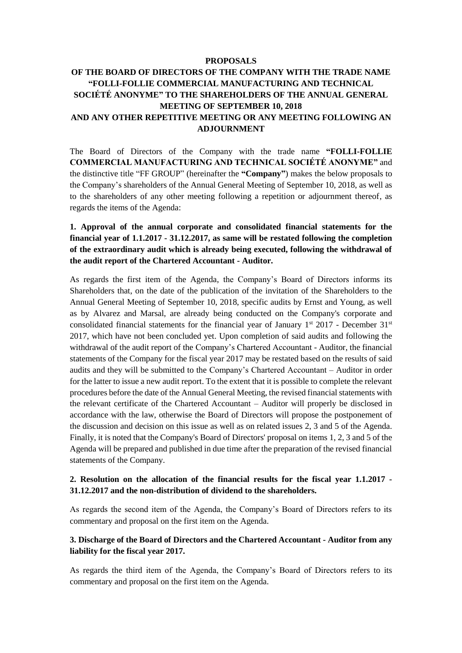#### **PROPOSALS**

# **OF THE BOARD OF DIRECTORS OF THE COMPANY WITH THE TRADE NAME "FOLLI-FOLLIE COMMERCIAL MANUFACTURING AND TECHNICAL SOCIÉTÉ ANONYME" TO THE SHAREHOLDERS OF THE ANNUAL GENERAL MEETING OF SEPTEMBER 10, 2018 AND ANY OTHER REPETITIVE MEETING OR ANY MEETING FOLLOWING AN ADJOURNMENT**

The Board of Directors of the Company with the trade name **"FOLLI-FOLLIE COMMERCIAL MANUFACTURING AND TECHNICAL SOCIÉTÉ ANONYME"** and the distinctive title "FF GROUP" (hereinafter the **"Company"**) makes the below proposals to the Company's shareholders of the Annual General Meeting of September 10, 2018, as well as to the shareholders of any other meeting following a repetition or adjournment thereof, as regards the items of the Agenda:

# **1. Approval of the annual corporate and consolidated financial statements for the financial year of 1.1.2017 - 31.12.2017, as same will be restated following the completion of the extraordinary audit which is already being executed, following the withdrawal of the audit report of the Chartered Accountant - Auditor.**

As regards the first item of the Agenda, the Company's Board of Directors informs its Shareholders that, on the date of the publication of the invitation of the Shareholders to the Annual General Meeting of September 10, 2018, specific audits by Ernst and Young, as well as by Alvarez and Marsal, are already being conducted on the Company's corporate and consolidated financial statements for the financial year of January  $1^{st}$  2017 - December 31<sup>st</sup> 2017, which have not been concluded yet. Upon completion of said audits and following the withdrawal of the audit report of the Company's Chartered Accountant - Auditor, the financial statements of the Company for the fiscal year 2017 may be restated based on the results of said audits and they will be submitted to the Company's Chartered Accountant – Auditor in order for the latter to issue a new audit report. To the extent that it is possible to complete the relevant procedures before the date of the Annual General Meeting, the revised financial statements with the relevant certificate of the Chartered Accountant – Auditor will properly be disclosed in accordance with the law, otherwise the Board of Directors will propose the postponement of the discussion and decision on this issue as well as on related issues 2, 3 and 5 of the Agenda. Finally, it is noted that the Company's Board of Directors' proposal on items 1, 2, 3 and 5 of the Agenda will be prepared and published in due time after the preparation of the revised financial statements of the Company.

#### **2. Resolution on the allocation of the financial results for the fiscal year 1.1.2017 - 31.12.2017 and the non-distribution of dividend to the shareholders.**

As regards the second item of the Agenda, the Company's Board of Directors refers to its commentary and proposal on the first item on the Agenda.

#### **3. Discharge of the Board of Directors and the Chartered Accountant - Auditor from any liability for the fiscal year 2017.**

As regards the third item of the Agenda, the Company's Board of Directors refers to its commentary and proposal on the first item on the Agenda.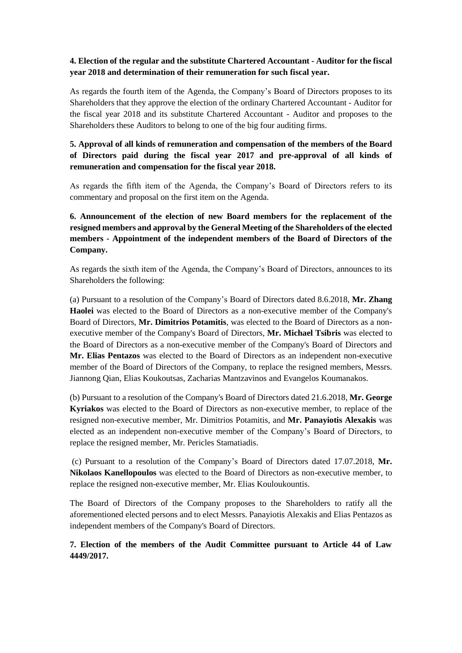#### **4. Election of the regular and the substitute Chartered Accountant - Auditor for the fiscal year 2018 and determination of their remuneration for such fiscal year.**

As regards the fourth item of the Agenda, the Company's Board of Directors proposes to its Shareholders that they approve the election of the ordinary Chartered Accountant - Auditor for the fiscal year 2018 and its substitute Chartered Accountant - Auditor and proposes to the Shareholders these Auditors to belong to one of the big four auditing firms.

# **5. Approval of all kinds of remuneration and compensation of the members of the Board of Directors paid during the fiscal year 2017 and pre-approval of all kinds of remuneration and compensation for the fiscal year 2018.**

As regards the fifth item of the Agenda, the Company's Board of Directors refers to its commentary and proposal on the first item on the Agenda.

# **6. Announcement of the election of new Board members for the replacement of the resigned members and approval by the General Meeting of the Shareholders of the elected members - Appointment of the independent members of the Board of Directors of the Company.**

As regards the sixth item of the Agenda, the Company's Board of Directors, announces to its Shareholders the following:

(a) Pursuant to a resolution of the Company's Board of Directors dated 8.6.2018, **Mr. Zhang Haolei** was elected to the Board of Directors as a non-executive member of the Company's Board of Directors, **Mr. Dimitrios Potamitis**, was elected to the Board of Directors as a nonexecutive member of the Company's Board of Directors, **Mr. Michael Tsibris** was elected to the Board of Directors as a non-executive member of the Company's Board of Directors and **Mr. Elias Pentazos** was elected to the Board of Directors as an independent non-executive member of the Board of Directors of the Company, to replace the resigned members, Messrs. Jiannong Qian, Elias Koukoutsas, Zacharias Mantzavinos and Evangelos Koumanakos.

(b) Pursuant to a resolution of the Company's Board of Directors dated 21.6.2018, **Mr. George Kyriakos** was elected to the Board of Directors as non-executive member, to replace of the resigned non-executive member, Mr. Dimitrios Potamitis, and **Mr. Panayiotis Alexakis** was elected as an independent non-executive member of the Company's Board of Directors, to replace the resigned member, Mr. Pericles Stamatiadis.

(c) Pursuant to a resolution of the Company's Board of Directors dated 17.07.2018, **Mr. Nikolaos Kanellopoulos** was elected to the Board of Directors as non-executive member, to replace the resigned non-executive member, Mr. Elias Kouloukountis.

The Board of Directors of the Company proposes to the Shareholders to ratify all the aforementioned elected persons and to elect Messrs. Panayiotis Alexakis and Elias Pentazos as independent members of the Company's Board of Directors.

#### **7. Election of the members of the Audit Committee pursuant to Article 44 of Law 4449/2017.**